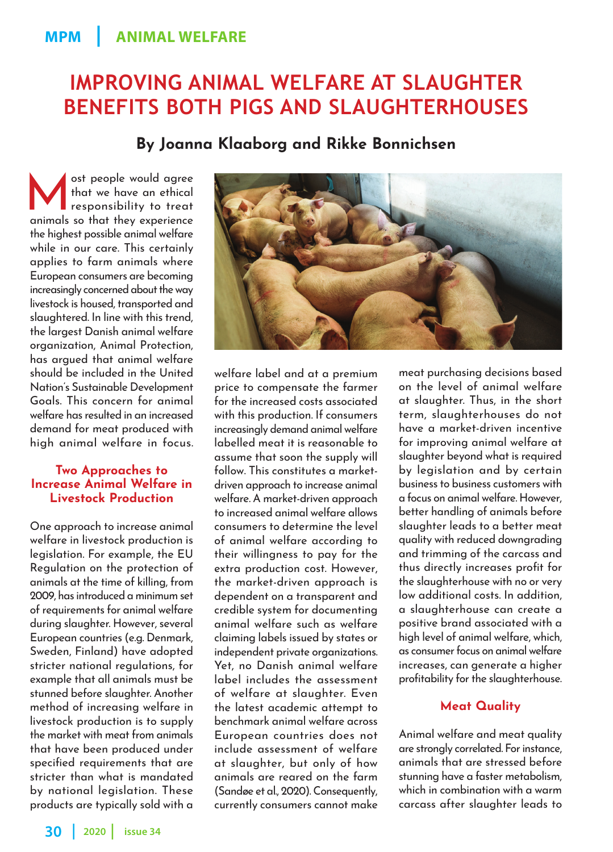# **IMPROVING ANIMAL WELFARE AT SLAUGHTER BENEFITS BOTH PIGS AND SLAUGHTERHOUSES**

**By Joanna Klaaborg and Rikke Bonnichsen**

ost people would agree<br>
that we have an ethical<br>
responsibility to treat that we have an ethical animals so that they experience the highest possible animal welfare while in our care. This certainly applies to farm animals where European consumers are becoming increasingly concerned about the way livestock is housed, transported and slaughtered. In line with this trend, the largest Danish animal welfare organization, Animal Protection, has argued that animal welfare should be included in the United Nation's Sustainable Development Goals. This concern for animal welfare has resulted in an increased demand for meat produced with high animal welfare in focus.

# **Two Approaches to Increase Animal Welfare in Livestock Production**

One approach to increase animal welfare in livestock production is legislation. For example, the EU Regulation on the protection of animals at the time of killing, from 2009, has introduced a minimum set of requirements for animal welfare during slaughter. However, several European countries (e.g. Denmark, Sweden, Finland) have adopted stricter national regulations, for example that all animals must be stunned before slaughter. Another method of increasing welfare in livestock production is to supply the market with meat from animals that have been produced under specified requirements that are stricter than what is mandated by national legislation. These products are typically sold with a welfare label and at a premium price to compensate the farmer for the increased costs associated with this production. If consumers increasingly demand animal welfare labelled meat it is reasonable to assume that soon the supply will follow. This constitutes a marketdriven approach to increase animal welfare. A market-driven approach to increased animal welfare allows consumers to determine the level of animal welfare according to their willingness to pay for the extra production cost. However, the market-driven approach is dependent on a transparent and credible system for documenting animal welfare such as welfare claiming labels issued by states or independent private organizations. Yet, no Danish animal welfare label includes the assessment of welfare at slaughter. Even the latest academic attempt to benchmark animal welfare across European countries does not include assessment of welfare at slaughter, but only of how animals are reared on the farm (Sandøe et al., 2020). Consequently, currently consumers cannot make

meat purchasing decisions based on the level of animal welfare at slaughter. Thus, in the short term, slaughterhouses do not have a market-driven incentive for improving animal welfare at slaughter beyond what is required by legislation and by certain business to business customers with a focus on animal welfare. However, better handling of animals before slaughter leads to a better meat quality with reduced downgrading and trimming of the carcass and thus directly increases profit for the slaughterhouse with no or very low additional costs. In addition, a slaughterhouse can create a positive brand associated with a high level of animal welfare, which, as consumer focus on animal welfare increases, can generate a higher profitability for the slaughterhouse.

# **Meat Quality**

Animal welfare and meat quality are strongly correlated. For instance, animals that are stressed before stunning have a faster metabolism, which in combination with a warm carcass after slaughter leads to